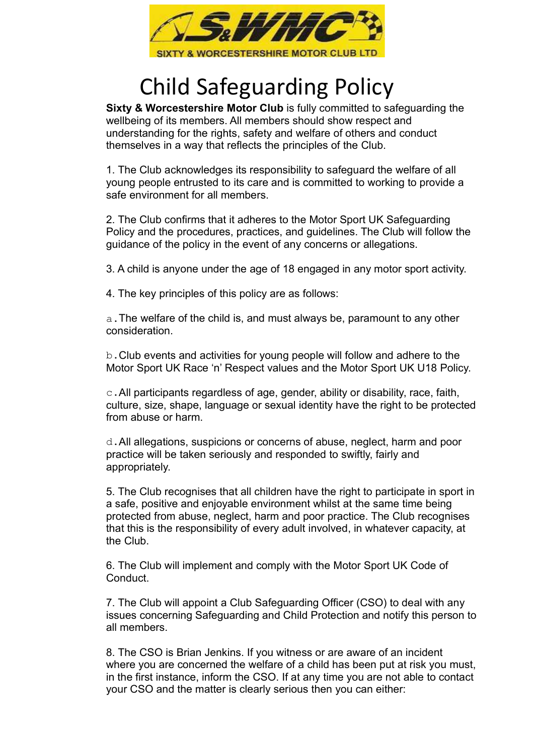

## Child Safeguarding Policy

Sixty & Worcestershire Motor Club is fully committed to safeguarding the wellbeing of its members. All members should show respect and understanding for the rights, safety and welfare of others and conduct themselves in a way that reflects the principles of the Club.

1. The Club acknowledges its responsibility to safeguard the welfare of all young people entrusted to its care and is committed to working to provide a safe environment for all members.

2. The Club confirms that it adheres to the Motor Sport UK Safeguarding Policy and the procedures, practices, and guidelines. The Club will follow the guidance of the policy in the event of any concerns or allegations.

3. A child is anyone under the age of 18 engaged in any motor sport activity.

4. The key principles of this policy are as follows:

a.The welfare of the child is, and must always be, paramount to any other consideration.

b.Club events and activities for young people will follow and adhere to the Motor Sport UK Race 'n' Respect values and the Motor Sport UK U18 Policy.

c.All participants regardless of age, gender, ability or disability, race, faith, culture, size, shape, language or sexual identity have the right to be protected from abuse or harm.

d.All allegations, suspicions or concerns of abuse, neglect, harm and poor practice will be taken seriously and responded to swiftly, fairly and appropriately.

5. The Club recognises that all children have the right to participate in sport in a safe, positive and enjoyable environment whilst at the same time being protected from abuse, neglect, harm and poor practice. The Club recognises that this is the responsibility of every adult involved, in whatever capacity, at the Club.

6. The Club will implement and comply with the Motor Sport UK Code of Conduct.

7. The Club will appoint a Club Safeguarding Officer (CSO) to deal with any issues concerning Safeguarding and Child Protection and notify this person to all members.

8. The CSO is Brian Jenkins. If you witness or are aware of an incident where you are concerned the welfare of a child has been put at risk you must, in the first instance, inform the CSO. If at any time you are not able to contact your CSO and the matter is clearly serious then you can either: